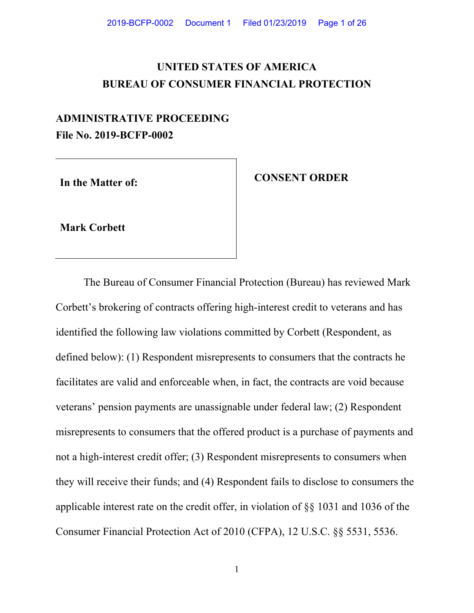# **UNITED STATES OF AMERICA BUREAU OF CONSUMER FINANCIAL PROTECTION**

# **ADMINISTRATIVE PROCEEDING File No. 2019-BCFP-0002**

In the Matter of: *CONSENT ORDER* 

**Mark Corbett** 

The Bureau of Consumer Financial Protection (Bureau) has reviewed Mark Corbett's brokering of contracts offering high-interest credit to veterans and has identified the following law violations committed by Corbett (Respondent, as defined below): (1) Respondent misrepresents to consumers that the contracts he facilitates are valid and enforceable when, in fact, the contracts are void because veterans' pension payments are unassignable under federal law; (2) Respondent misrepresents to consumers that the offered product is a purchase of payments and not a high-interest credit offer; (3) Respondent misrepresents to consumers when they will receive their funds; and (4) Respondent fails to disclose to consumers the applicable interest rate on the credit offer, in violation of §§ 1031 and 1036 of the Consumer Financial Protection Act of 2010 (CFPA), 12 U.S.C. §§ 5531, 5536.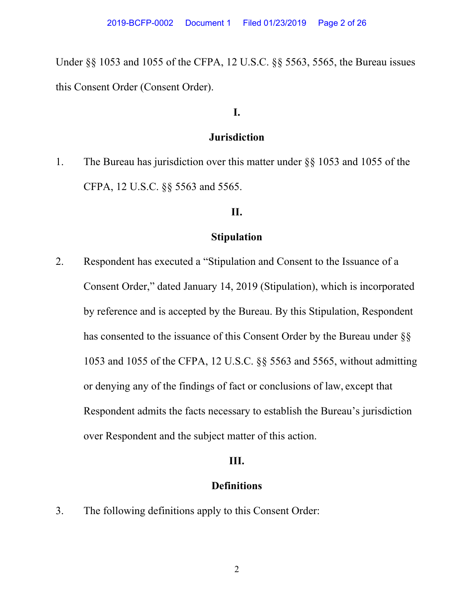Under §§ 1053 and 1055 of the CFPA, 12 U.S.C. §§ 5563, 5565, the Bureau issues this Consent Order (Consent Order).

# **I.**

### **Jurisdiction**

1. The Bureau has jurisdiction over this matter under §§ 1053 and 1055 of the CFPA, 12 U.S.C. §§ 5563 and 5565.

#### **II.**

# **Stipulation**

2. Respondent has executed a "Stipulation and Consent to the Issuance of a Consent Order," dated January 14, 2019 (Stipulation), which is incorporated by reference and is accepted by the Bureau. By this Stipulation, Respondent has consented to the issuance of this Consent Order by the Bureau under §§ 1053 and 1055 of the CFPA, 12 U.S.C. §§ 5563 and 5565, without admitting or denying any of the findings of fact or conclusions of law, except that Respondent admits the facts necessary to establish the Bureau's jurisdiction over Respondent and the subject matter of this action.

#### **III.**

# **Definitions**

3. The following definitions apply to this Consent Order: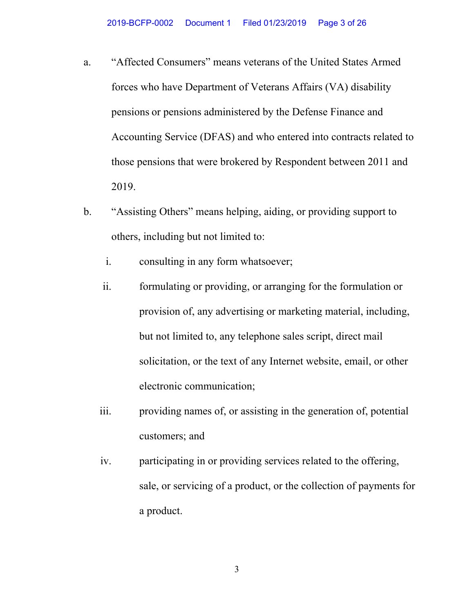- a. "Affected Consumers" means veterans of the United States Armed forces who have Department of Veterans Affairs (VA) disability pensions or pensions administered by the Defense Finance and Accounting Service (DFAS) and who entered into contracts related to those pensions that were brokered by Respondent between 2011 and 2019.
- b. "Assisting Others" means helping, aiding, or providing support to others, including but not limited to:
	- i. consulting in any form whatsoever;
	- ii. formulating or providing, or arranging for the formulation or provision of, any advertising or marketing material, including, but not limited to, any telephone sales script, direct mail solicitation, or the text of any Internet website, email, or other electronic communication;
	- iii. providing names of, or assisting in the generation of, potential customers; and
	- iv. participating in or providing services related to the offering, sale, or servicing of a product, or the collection of payments for a product.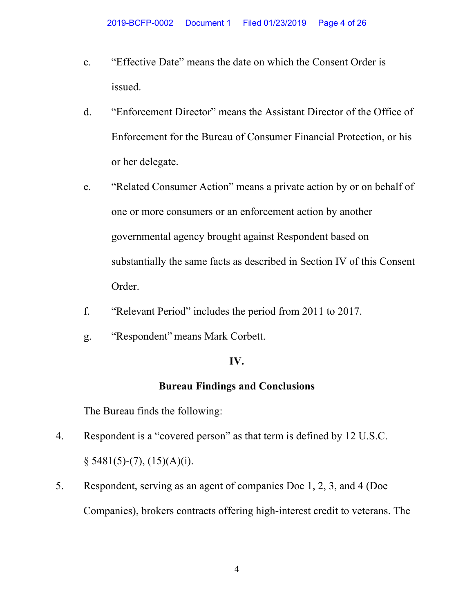- c. "Effective Date" means the date on which the Consent Order is issued.
- d. "Enforcement Director" means the Assistant Director of the Office of Enforcement for the Bureau of Consumer Financial Protection, or his or her delegate.
- e. "Related Consumer Action" means a private action by or on behalf of one or more consumers or an enforcement action by another governmental agency brought against Respondent based on substantially the same facts as described in Section IV of this Consent Order.
- f. "Relevant Period" includes the period from 2011 to 2017.
- g. "Respondent" means Mark Corbett.

# **IV.**

# **Bureau Findings and Conclusions**

The Bureau finds the following:

- 4. Respondent is a "covered person" as that term is defined by 12 U.S.C. § 5481(5)-(7), (15)(A)(i).
- 5. Respondent, serving as an agent of companies Doe 1, 2, 3, and 4 (Doe Companies), brokers contracts offering high-interest credit to veterans. The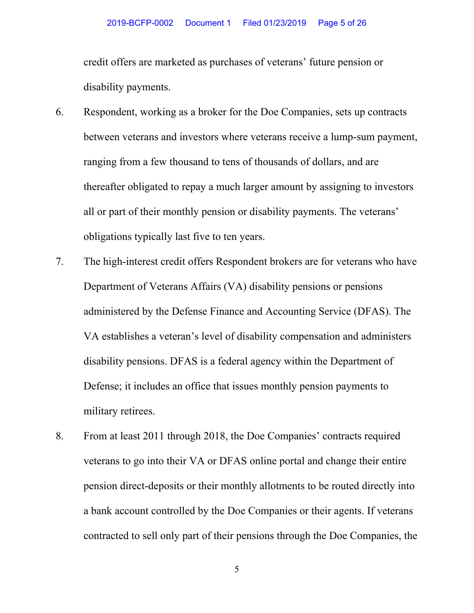credit offers are marketed as purchases of veterans' future pension or disability payments.

- 6. Respondent, working as a broker for the Doe Companies, sets up contracts between veterans and investors where veterans receive a lump-sum payment, ranging from a few thousand to tens of thousands of dollars, and are thereafter obligated to repay a much larger amount by assigning to investors all or part of their monthly pension or disability payments. The veterans' obligations typically last five to ten years.
- 7. The high-interest credit offers Respondent brokers are for veterans who have Department of Veterans Affairs (VA) disability pensions or pensions administered by the Defense Finance and Accounting Service (DFAS). The VA establishes a veteran's level of disability compensation and administers disability pensions. DFAS is a federal agency within the Department of Defense; it includes an office that issues monthly pension payments to military retirees.
- 8. From at least 2011 through 2018, the Doe Companies' contracts required veterans to go into their VA or DFAS online portal and change their entire pension direct-deposits or their monthly allotments to be routed directly into a bank account controlled by the Doe Companies or their agents. If veterans contracted to sell only part of their pensions through the Doe Companies, the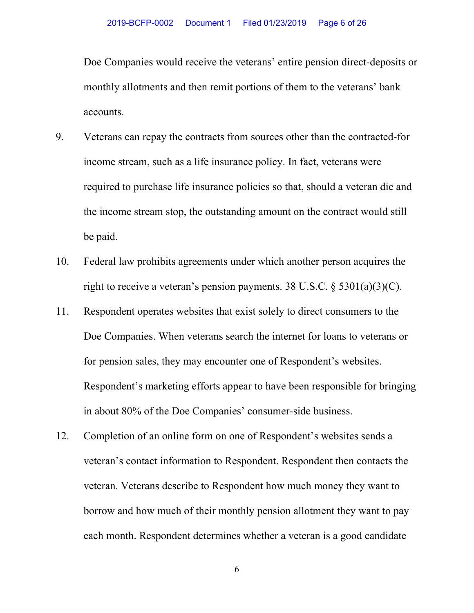Doe Companies would receive the veterans' entire pension direct-deposits or monthly allotments and then remit portions of them to the veterans' bank accounts.

- 9. Veterans can repay the contracts from sources other than the contracted-for income stream, such as a life insurance policy. In fact, veterans were required to purchase life insurance policies so that, should a veteran die and the income stream stop, the outstanding amount on the contract would still be paid.
- 10. Federal law prohibits agreements under which another person acquires the right to receive a veteran's pension payments. 38 U.S.C.  $\S 5301(a)(3)(C)$ .
- 11. Respondent operates websites that exist solely to direct consumers to the Doe Companies. When veterans search the internet for loans to veterans or for pension sales, they may encounter one of Respondent's websites. Respondent's marketing efforts appear to have been responsible for bringing in about 80% of the Doe Companies' consumer-side business.
- 12. Completion of an online form on one of Respondent's websites sends a veteran's contact information to Respondent. Respondent then contacts the veteran. Veterans describe to Respondent how much money they want to borrow and how much of their monthly pension allotment they want to pay each month. Respondent determines whether a veteran is a good candidate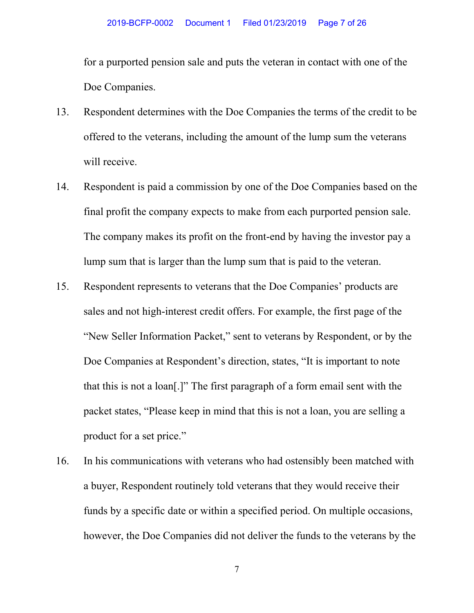for a purported pension sale and puts the veteran in contact with one of the Doe Companies.

- 13. Respondent determines with the Doe Companies the terms of the credit to be offered to the veterans, including the amount of the lump sum the veterans will receive.
- 14. Respondent is paid a commission by one of the Doe Companies based on the final profit the company expects to make from each purported pension sale. The company makes its profit on the front-end by having the investor pay a lump sum that is larger than the lump sum that is paid to the veteran.
- 15. Respondent represents to veterans that the Doe Companies' products are sales and not high-interest credit offers. For example, the first page of the "New Seller Information Packet," sent to veterans by Respondent, or by the Doe Companies at Respondent's direction, states, "It is important to note that this is not a loan[.]" The first paragraph of a form email sent with the packet states, "Please keep in mind that this is not a loan, you are selling a product for a set price."
- 16. In his communications with veterans who had ostensibly been matched with a buyer, Respondent routinely told veterans that they would receive their funds by a specific date or within a specified period. On multiple occasions, however, the Doe Companies did not deliver the funds to the veterans by the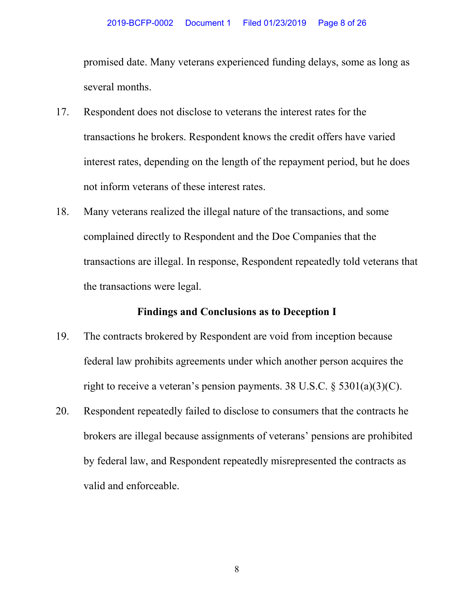promised date. Many veterans experienced funding delays, some as long as several months.

- 17. Respondent does not disclose to veterans the interest rates for the transactions he brokers. Respondent knows the credit offers have varied interest rates, depending on the length of the repayment period, but he does not inform veterans of these interest rates.
- 18. Many veterans realized the illegal nature of the transactions, and some complained directly to Respondent and the Doe Companies that the transactions are illegal. In response, Respondent repeatedly told veterans that the transactions were legal.

### **Findings and Conclusions as to Deception I**

- 19. The contracts brokered by Respondent are void from inception because federal law prohibits agreements under which another person acquires the right to receive a veteran's pension payments. 38 U.S.C.  $\S$  5301(a)(3)(C).
- 20. Respondent repeatedly failed to disclose to consumers that the contracts he brokers are illegal because assignments of veterans' pensions are prohibited by federal law, and Respondent repeatedly misrepresented the contracts as valid and enforceable.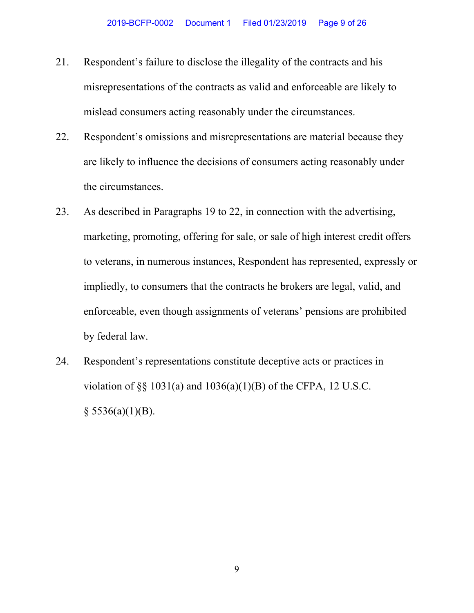- 21. Respondent's failure to disclose the illegality of the contracts and his misrepresentations of the contracts as valid and enforceable are likely to mislead consumers acting reasonably under the circumstances.
- 22. Respondent's omissions and misrepresentations are material because they are likely to influence the decisions of consumers acting reasonably under the circumstances.
- 23. As described in Paragraphs 19 to 22, in connection with the advertising, marketing, promoting, offering for sale, or sale of high interest credit offers to veterans, in numerous instances, Respondent has represented, expressly or impliedly, to consumers that the contracts he brokers are legal, valid, and enforceable, even though assignments of veterans' pensions are prohibited by federal law.
- 24. Respondent's representations constitute deceptive acts or practices in violation of  $\S$ § 1031(a) and 1036(a)(1)(B) of the CFPA, 12 U.S.C.  $§$  5536(a)(1)(B).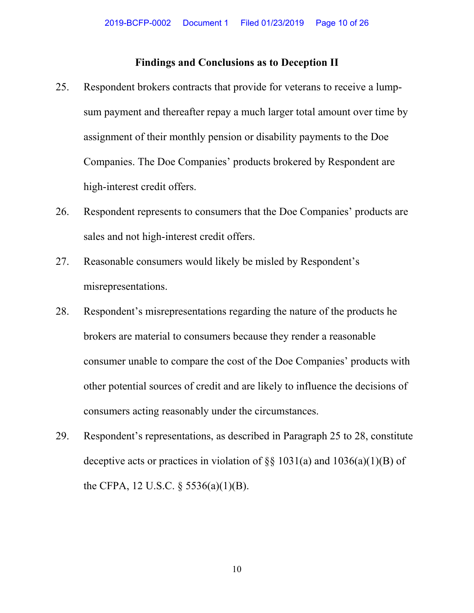#### **Findings and Conclusions as to Deception II**

- 25. Respondent brokers contracts that provide for veterans to receive a lumpsum payment and thereafter repay a much larger total amount over time by assignment of their monthly pension or disability payments to the Doe Companies. The Doe Companies' products brokered by Respondent are high-interest credit offers.
- 26. Respondent represents to consumers that the Doe Companies' products are sales and not high-interest credit offers.
- 27. Reasonable consumers would likely be misled by Respondent's misrepresentations.
- 28. Respondent's misrepresentations regarding the nature of the products he brokers are material to consumers because they render a reasonable consumer unable to compare the cost of the Doe Companies' products with other potential sources of credit and are likely to influence the decisions of consumers acting reasonably under the circumstances.
- 29. Respondent's representations, as described in Paragraph 25 to 28, constitute deceptive acts or practices in violation of  $\S$ § 1031(a) and 1036(a)(1)(B) of the CFPA, 12 U.S.C. § 5536(a)(1)(B).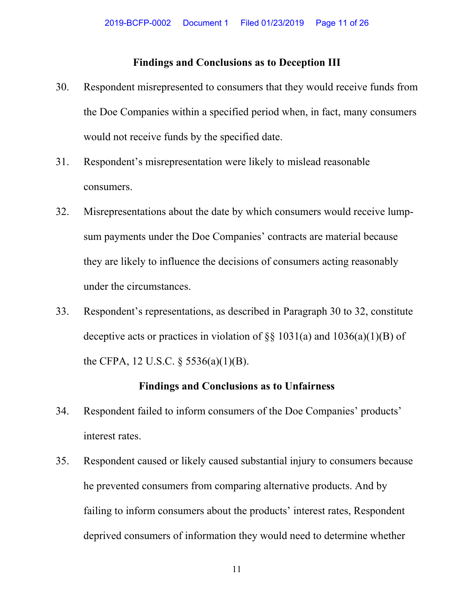#### **Findings and Conclusions as to Deception III**

- 30. Respondent misrepresented to consumers that they would receive funds from the Doe Companies within a specified period when, in fact, many consumers would not receive funds by the specified date.
- 31. Respondent's misrepresentation were likely to mislead reasonable consumers.
- 32. Misrepresentations about the date by which consumers would receive lumpsum payments under the Doe Companies' contracts are material because they are likely to influence the decisions of consumers acting reasonably under the circumstances.
- 33. Respondent's representations, as described in Paragraph 30 to 32, constitute deceptive acts or practices in violation of  $\S$ § 1031(a) and 1036(a)(1)(B) of the CFPA, 12 U.S.C.  $\S$  5536(a)(1)(B).

#### **Findings and Conclusions as to Unfairness**

- 34. Respondent failed to inform consumers of the Doe Companies' products' interest rates.
- 35. Respondent caused or likely caused substantial injury to consumers because he prevented consumers from comparing alternative products. And by failing to inform consumers about the products' interest rates, Respondent deprived consumers of information they would need to determine whether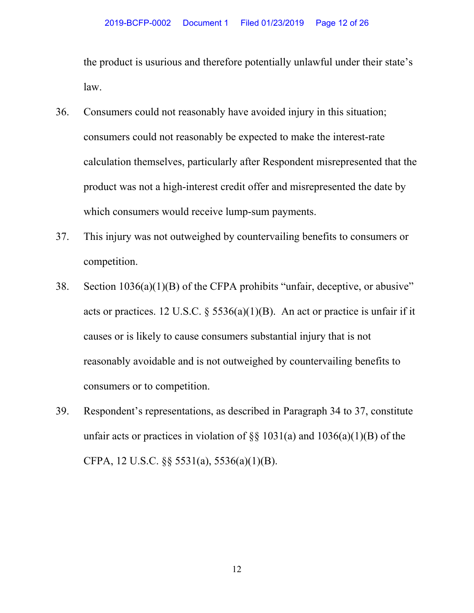the product is usurious and therefore potentially unlawful under their state's law.

- 36. Consumers could not reasonably have avoided injury in this situation; consumers could not reasonably be expected to make the interest-rate calculation themselves, particularly after Respondent misrepresented that the product was not a high-interest credit offer and misrepresented the date by which consumers would receive lump-sum payments.
- 37. This injury was not outweighed by countervailing benefits to consumers or competition.
- 38. Section 1036(a)(1)(B) of the CFPA prohibits "unfair, deceptive, or abusive" acts or practices. 12 U.S.C.  $\S 5536(a)(1)(B)$ . An act or practice is unfair if it causes or is likely to cause consumers substantial injury that is not reasonably avoidable and is not outweighed by countervailing benefits to consumers or to competition.
- 39. Respondent's representations, as described in Paragraph 34 to 37, constitute unfair acts or practices in violation of  $\S$ § 1031(a) and 1036(a)(1)(B) of the CFPA, 12 U.S.C. §§ 5531(a), 5536(a)(1)(B).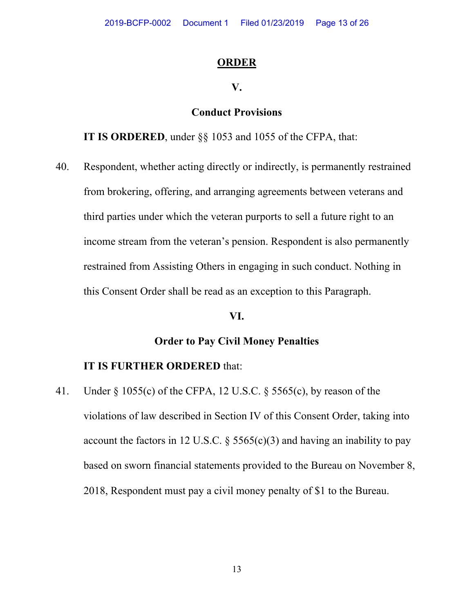#### **ORDER**

#### **V.**

# **Conduct Provisions**

**IT IS ORDERED**, under §§ 1053 and 1055 of the CFPA, that:

40. Respondent, whether acting directly or indirectly, is permanently restrained from brokering, offering, and arranging agreements between veterans and third parties under which the veteran purports to sell a future right to an income stream from the veteran's pension. Respondent is also permanently restrained from Assisting Others in engaging in such conduct. Nothing in this Consent Order shall be read as an exception to this Paragraph.

#### **VI.**

# **Order to Pay Civil Money Penalties**

# **IT IS FURTHER ORDERED** that:

41. Under § 1055(c) of the CFPA, 12 U.S.C. § 5565(c), by reason of the violations of law described in Section IV of this Consent Order, taking into account the factors in 12 U.S.C.  $\S$  5565(c)(3) and having an inability to pay based on sworn financial statements provided to the Bureau on November 8, 2018, Respondent must pay a civil money penalty of \$1 to the Bureau.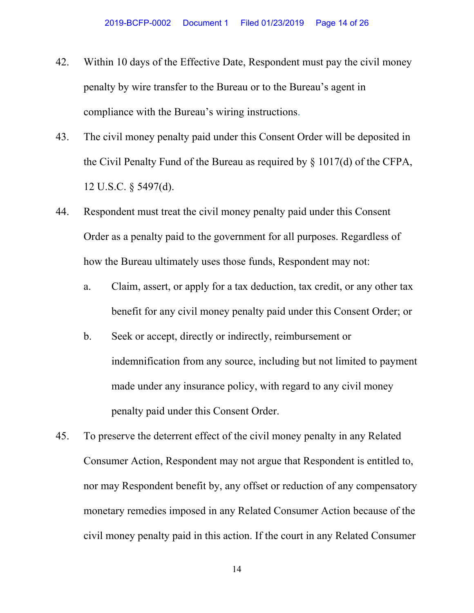- 42. Within 10 days of the Effective Date, Respondent must pay the civil money penalty by wire transfer to the Bureau or to the Bureau's agent in compliance with the Bureau's wiring instructions.
- 43. The civil money penalty paid under this Consent Order will be deposited in the Civil Penalty Fund of the Bureau as required by § 1017(d) of the CFPA, 12 U.S.C. § 5497(d).
- 44. Respondent must treat the civil money penalty paid under this Consent Order as a penalty paid to the government for all purposes. Regardless of how the Bureau ultimately uses those funds, Respondent may not:
	- a. Claim, assert, or apply for a tax deduction, tax credit, or any other tax benefit for any civil money penalty paid under this Consent Order; or
	- b. Seek or accept, directly or indirectly, reimbursement or indemnification from any source, including but not limited to payment made under any insurance policy, with regard to any civil money penalty paid under this Consent Order.
- 45. To preserve the deterrent effect of the civil money penalty in any Related Consumer Action, Respondent may not argue that Respondent is entitled to, nor may Respondent benefit by, any offset or reduction of any compensatory monetary remedies imposed in any Related Consumer Action because of the civil money penalty paid in this action. If the court in any Related Consumer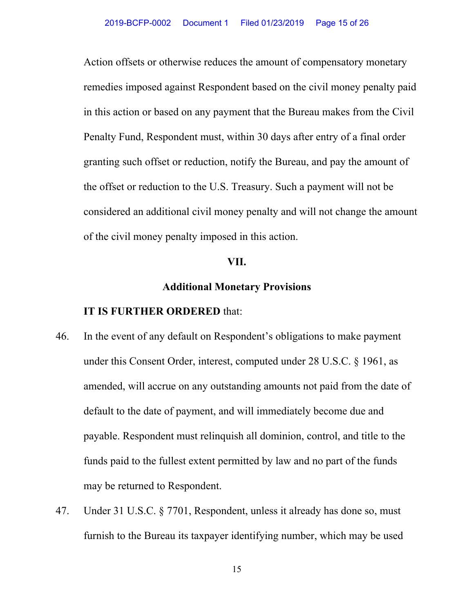Action offsets or otherwise reduces the amount of compensatory monetary remedies imposed against Respondent based on the civil money penalty paid in this action or based on any payment that the Bureau makes from the Civil Penalty Fund, Respondent must, within 30 days after entry of a final order granting such offset or reduction, notify the Bureau, and pay the amount of the offset or reduction to the U.S. Treasury. Such a payment will not be considered an additional civil money penalty and will not change the amount of the civil money penalty imposed in this action.

#### **VII.**

# **Additional Monetary Provisions**

- 46. In the event of any default on Respondent's obligations to make payment under this Consent Order, interest, computed under 28 U.S.C. § 1961, as amended, will accrue on any outstanding amounts not paid from the date of default to the date of payment, and will immediately become due and payable. Respondent must relinquish all dominion, control, and title to the funds paid to the fullest extent permitted by law and no part of the funds may be returned to Respondent.
- 47. Under 31 U.S.C. § 7701, Respondent, unless it already has done so, must furnish to the Bureau its taxpayer identifying number, which may be used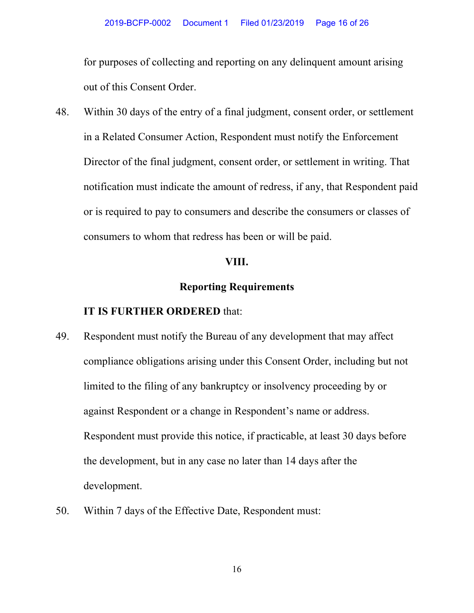for purposes of collecting and reporting on any delinquent amount arising out of this Consent Order.

48. Within 30 days of the entry of a final judgment, consent order, or settlement in a Related Consumer Action, Respondent must notify the Enforcement Director of the final judgment, consent order, or settlement in writing. That notification must indicate the amount of redress, if any, that Respondent paid or is required to pay to consumers and describe the consumers or classes of consumers to whom that redress has been or will be paid.

#### **VIII.**

# **Reporting Requirements**

- 49. Respondent must notify the Bureau of any development that may affect compliance obligations arising under this Consent Order, including but not limited to the filing of any bankruptcy or insolvency proceeding by or against Respondent or a change in Respondent's name or address. Respondent must provide this notice, if practicable, at least 30 days before the development, but in any case no later than 14 days after the development.
- 50. Within 7 days of the Effective Date, Respondent must: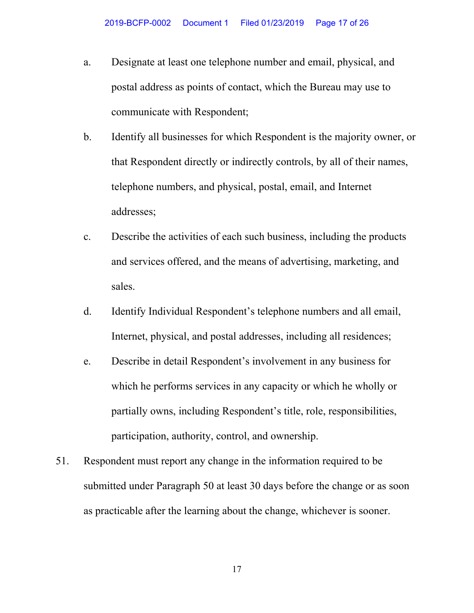- a. Designate at least one telephone number and email, physical, and postal address as points of contact, which the Bureau may use to communicate with Respondent;
- b. Identify all businesses for which Respondent is the majority owner, or that Respondent directly or indirectly controls, by all of their names, telephone numbers, and physical, postal, email, and Internet addresses;
- c. Describe the activities of each such business, including the products and services offered, and the means of advertising, marketing, and sales.
- d. Identify Individual Respondent's telephone numbers and all email, Internet, physical, and postal addresses, including all residences;
- e. Describe in detail Respondent's involvement in any business for which he performs services in any capacity or which he wholly or partially owns, including Respondent's title, role, responsibilities, participation, authority, control, and ownership.
- 51. Respondent must report any change in the information required to be submitted under Paragraph 50 at least 30 days before the change or as soon as practicable after the learning about the change, whichever is sooner.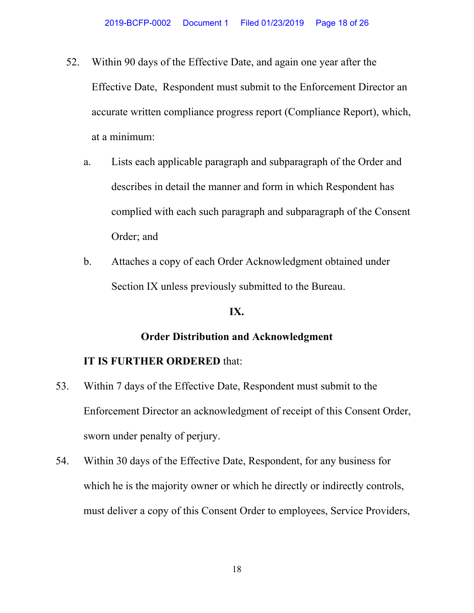- 52. Within 90 days of the Effective Date, and again one year after the Effective Date, Respondent must submit to the Enforcement Director an accurate written compliance progress report (Compliance Report), which, at a minimum:
	- a. Lists each applicable paragraph and subparagraph of the Order and describes in detail the manner and form in which Respondent has complied with each such paragraph and subparagraph of the Consent Order; and
	- b. Attaches a copy of each Order Acknowledgment obtained under Section IX unless previously submitted to the Bureau.

#### **IX.**

# **Order Distribution and Acknowledgment**

- 53. Within 7 days of the Effective Date, Respondent must submit to the Enforcement Director an acknowledgment of receipt of this Consent Order, sworn under penalty of perjury.
- 54. Within 30 days of the Effective Date, Respondent, for any business for which he is the majority owner or which he directly or indirectly controls, must deliver a copy of this Consent Order to employees, Service Providers,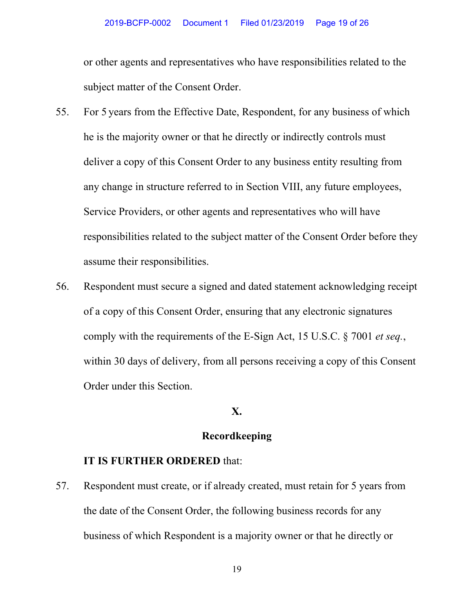or other agents and representatives who have responsibilities related to the subject matter of the Consent Order.

- 55. For 5 years from the Effective Date, Respondent, for any business of which he is the majority owner or that he directly or indirectly controls must deliver a copy of this Consent Order to any business entity resulting from any change in structure referred to in Section VIII, any future employees, Service Providers, or other agents and representatives who will have responsibilities related to the subject matter of the Consent Order before they assume their responsibilities.
- 56. Respondent must secure a signed and dated statement acknowledging receipt of a copy of this Consent Order, ensuring that any electronic signatures comply with the requirements of the E-Sign Act, 15 U.S.C. § 7001 *et seq.*, within 30 days of delivery, from all persons receiving a copy of this Consent Order under this Section.

#### **X.**

# **Recordkeeping**

#### **IT IS FURTHER ORDERED** that:

57. Respondent must create, or if already created, must retain for 5 years from the date of the Consent Order, the following business records for any business of which Respondent is a majority owner or that he directly or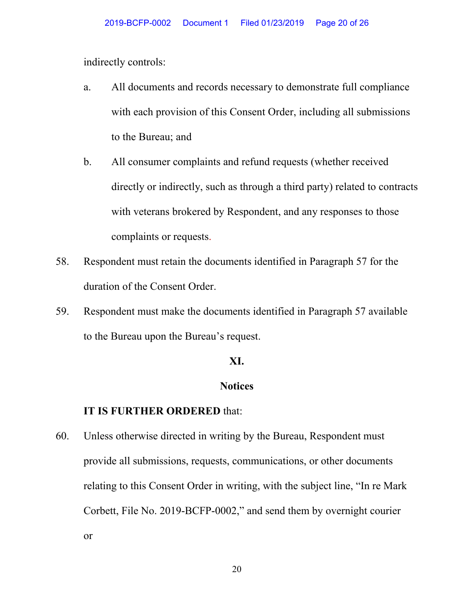indirectly controls:

- a. All documents and records necessary to demonstrate full compliance with each provision of this Consent Order, including all submissions to the Bureau; and
- b. All consumer complaints and refund requests (whether received directly or indirectly, such as through a third party) related to contracts with veterans brokered by Respondent, and any responses to those complaints or requests.
- 58. Respondent must retain the documents identified in Paragraph 57 for the duration of the Consent Order.
- 59. Respondent must make the documents identified in Paragraph 57 available to the Bureau upon the Bureau's request.

#### **XI.**

### **Notices**

#### **IT IS FURTHER ORDERED** that:

60. Unless otherwise directed in writing by the Bureau, Respondent must provide all submissions, requests, communications, or other documents relating to this Consent Order in writing, with the subject line, "In re Mark Corbett, File No. 2019-BCFP-0002," and send them by overnight courier or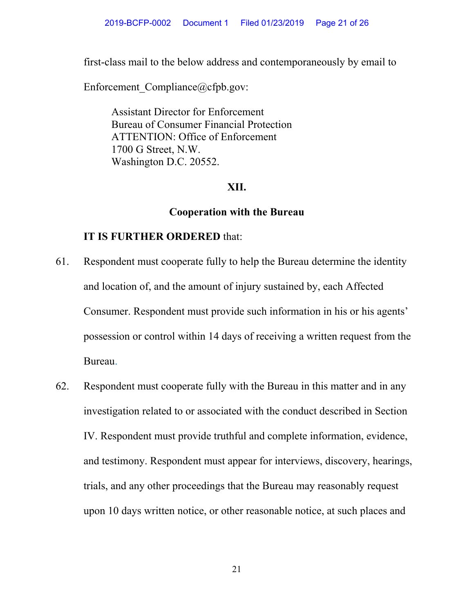first-class mail to the below address and contemporaneously by email to

Enforcement Compliance@cfpb.gov:

Assistant Director for Enforcement Bureau of Consumer Financial Protection ATTENTION: Office of Enforcement 1700 G Street, N.W. Washington D.C. 20552.

# **XII.**

# **Cooperation with the Bureau**

- 61. Respondent must cooperate fully to help the Bureau determine the identity and location of, and the amount of injury sustained by, each Affected Consumer. Respondent must provide such information in his or his agents' possession or control within 14 days of receiving a written request from the Bureau.
- 62. Respondent must cooperate fully with the Bureau in this matter and in any investigation related to or associated with the conduct described in Section IV. Respondent must provide truthful and complete information, evidence, and testimony. Respondent must appear for interviews, discovery, hearings, trials, and any other proceedings that the Bureau may reasonably request upon 10 days written notice, or other reasonable notice, at such places and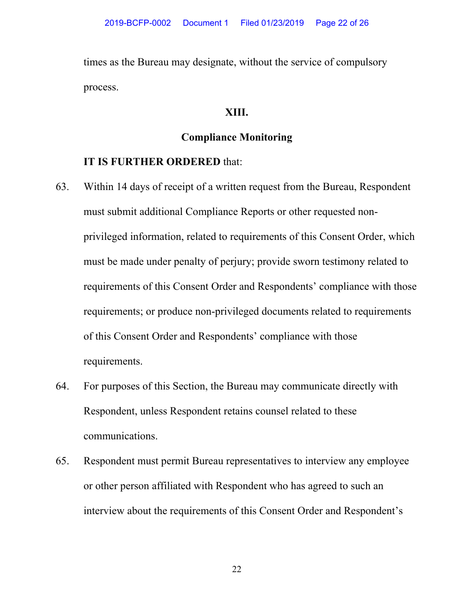times as the Bureau may designate, without the service of compulsory process.

# **XIII.**

# **Compliance Monitoring**

### **IT IS FURTHER ORDERED** that:

- 63. Within 14 days of receipt of a written request from the Bureau, Respondent must submit additional Compliance Reports or other requested nonprivileged information, related to requirements of this Consent Order, which must be made under penalty of perjury; provide sworn testimony related to requirements of this Consent Order and Respondents' compliance with those requirements; or produce non-privileged documents related to requirements of this Consent Order and Respondents' compliance with those requirements.
- 64. For purposes of this Section, the Bureau may communicate directly with Respondent, unless Respondent retains counsel related to these communications.
- 65. Respondent must permit Bureau representatives to interview any employee or other person affiliated with Respondent who has agreed to such an interview about the requirements of this Consent Order and Respondent's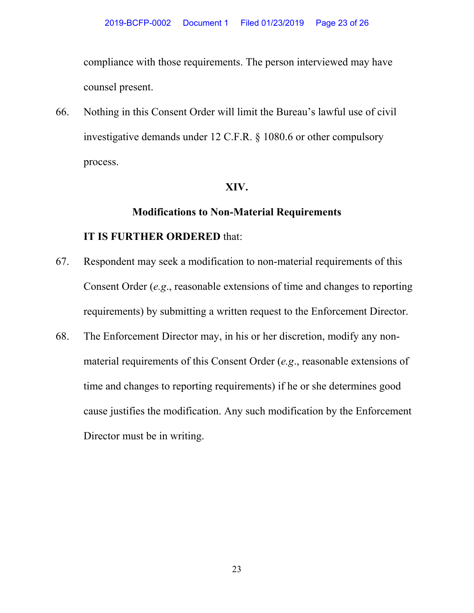compliance with those requirements. The person interviewed may have counsel present.

66. Nothing in this Consent Order will limit the Bureau's lawful use of civil investigative demands under 12 C.F.R. § 1080.6 or other compulsory process.

# **XIV.**

# **Modifications to Non-Material Requirements**

- 67. Respondent may seek a modification to non-material requirements of this Consent Order (*e.g*., reasonable extensions of time and changes to reporting requirements) by submitting a written request to the Enforcement Director.
- 68. The Enforcement Director may, in his or her discretion, modify any nonmaterial requirements of this Consent Order (*e.g*., reasonable extensions of time and changes to reporting requirements) if he or she determines good cause justifies the modification. Any such modification by the Enforcement Director must be in writing.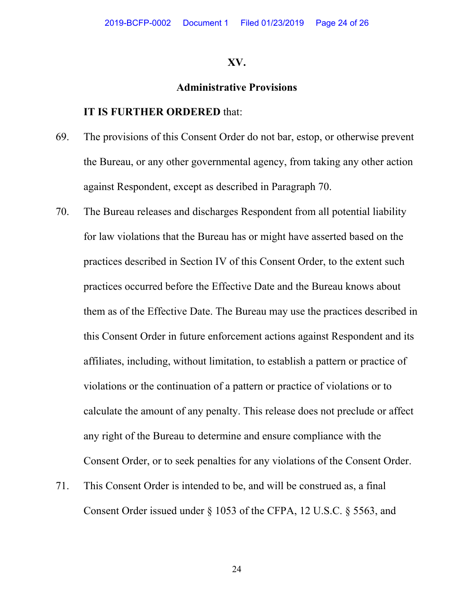#### **XV.**

#### **Administrative Provisions**

#### **IT IS FURTHER ORDERED** that:

- 69. The provisions of this Consent Order do not bar, estop, or otherwise prevent the Bureau, or any other governmental agency, from taking any other action against Respondent, except as described in Paragraph 70.
- 70. The Bureau releases and discharges Respondent from all potential liability for law violations that the Bureau has or might have asserted based on the practices described in Section IV of this Consent Order, to the extent such practices occurred before the Effective Date and the Bureau knows about them as of the Effective Date. The Bureau may use the practices described in this Consent Order in future enforcement actions against Respondent and its affiliates, including, without limitation, to establish a pattern or practice of violations or the continuation of a pattern or practice of violations or to calculate the amount of any penalty. This release does not preclude or affect any right of the Bureau to determine and ensure compliance with the Consent Order, or to seek penalties for any violations of the Consent Order.
- 71. This Consent Order is intended to be, and will be construed as, a final Consent Order issued under § 1053 of the CFPA, 12 U.S.C. § 5563, and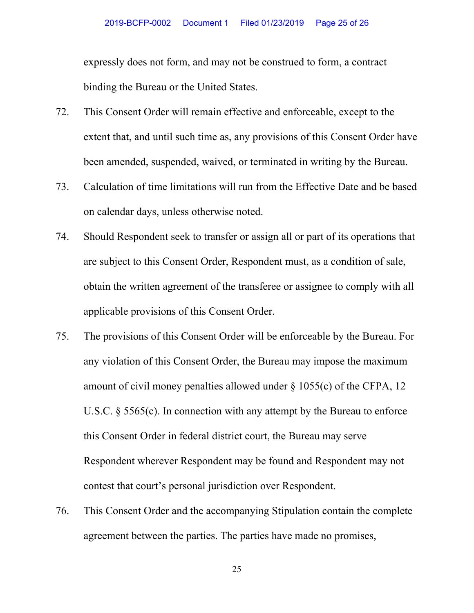expressly does not form, and may not be construed to form, a contract binding the Bureau or the United States.

- 72. This Consent Order will remain effective and enforceable, except to the extent that, and until such time as, any provisions of this Consent Order have been amended, suspended, waived, or terminated in writing by the Bureau.
- 73. Calculation of time limitations will run from the Effective Date and be based on calendar days, unless otherwise noted.
- 74. Should Respondent seek to transfer or assign all or part of its operations that are subject to this Consent Order, Respondent must, as a condition of sale, obtain the written agreement of the transferee or assignee to comply with all applicable provisions of this Consent Order.
- 75. The provisions of this Consent Order will be enforceable by the Bureau. For any violation of this Consent Order, the Bureau may impose the maximum amount of civil money penalties allowed under  $\S$  1055(c) of the CFPA, 12 U.S.C. § 5565(c). In connection with any attempt by the Bureau to enforce this Consent Order in federal district court, the Bureau may serve Respondent wherever Respondent may be found and Respondent may not contest that court's personal jurisdiction over Respondent.
- 76. This Consent Order and the accompanying Stipulation contain the complete agreement between the parties. The parties have made no promises,